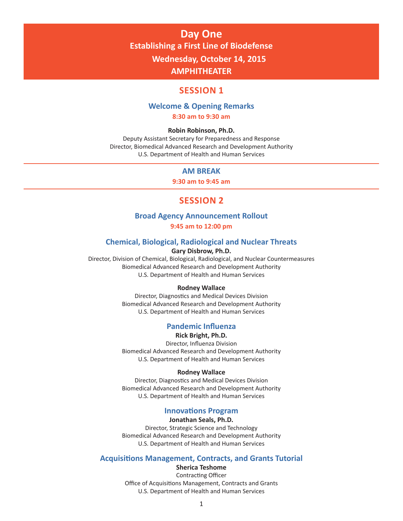# **Day One Establishing a First Line of Biodefense Wednesday, October 14, 2015 AMPHITHEATER**

# **SESSION 1**

# **Welcome & Opening Remarks**

**8:30 am to 9:30 am**

#### **Robin Robinson, Ph.D.**

Deputy Assistant Secretary for Preparedness and Response Director, Biomedical Advanced Research and Development Authority U.S. Department of Health and Human Services

### **AM BREAK**

**9:30 am to 9:45 am**

# **SESSION 2**

# **Broad Agency Announcement Rollout**

#### **9:45 am to 12:00 pm**

# **Chemical, Biological, Radiological and Nuclear Threats**

# **Gary Disbrow, Ph.D.**

Director, Division of Chemical, Biological, Radiological, and Nuclear Countermeasures Biomedical Advanced Research and Development Authority U.S. Department of Health and Human Services

#### **Rodney Wallace**

Director, Diagnostics and Medical Devices Division Biomedical Advanced Research and Development Authority U.S. Department of Health and Human Services

# **Pandemic Influenza**

#### **Rick Bright, Ph.D.**

Director, Influenza Division Biomedical Advanced Research and Development Authority U.S. Department of Health and Human Services

#### **Rodney Wallace**

Director, Diagnostics and Medical Devices Division Biomedical Advanced Research and Development Authority U.S. Department of Health and Human Services

### **Innovations Program**

#### **Jonathan Seals, Ph.D.**

Director, Strategic Science and Technology Biomedical Advanced Research and Development Authority U.S. Department of Health and Human Services

#### **Acquisitions Management, Contracts, and Grants Tutorial**

**Sherica Teshome**

Contracting Officer Office of Acquisitions Management, Contracts and Grants U.S. Department of Health and Human Services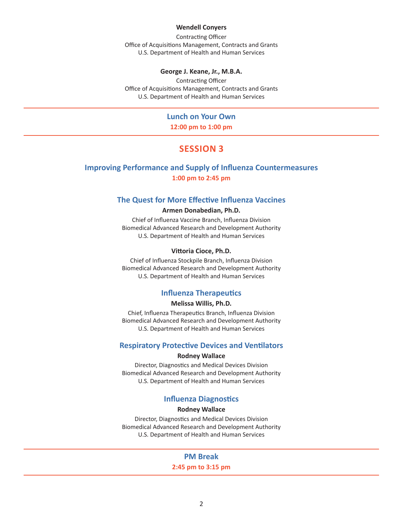#### **Wendell Conyers**

Contracting Officer Office of Acquisitions Management, Contracts and Grants U.S. Department of Health and Human Services

#### **George J. Keane, Jr., M.B.A.**

Contracting Officer Office of Acquisitions Management, Contracts and Grants U.S. Department of Health and Human Services

# **Lunch on Your Own**

**12:00 pm to 1:00 pm**

# **SESSION 3**

# **Improving Performance and Supply of Influenza Countermeasures**

**1:00 pm to 2:45 pm**

# **The Quest for More Effective Influenza Vaccines**

#### **Armen Donabedian, Ph.D.**

Chief of Influenza Vaccine Branch, Influenza Division Biomedical Advanced Research and Development Authority U.S. Department of Health and Human Services

#### **Vittoria Cioce, Ph.D.**

Chief of Influenza Stockpile Branch, Influenza Division Biomedical Advanced Research and Development Authority U.S. Department of Health and Human Services

# **Influenza Therapeutics**

#### **Melissa Willis, Ph.D.**

Chief, Influenza Therapeutics Branch, Influenza Division Biomedical Advanced Research and Development Authority U.S. Department of Health and Human Services

#### **Respiratory Protective Devices and Ventilators**

#### **Rodney Wallace**

Director, Diagnostics and Medical Devices Division Biomedical Advanced Research and Development Authority U.S. Department of Health and Human Services

# **Influenza Diagnostics**

#### **Rodney Wallace**

Director, Diagnostics and Medical Devices Division Biomedical Advanced Research and Development Authority U.S. Department of Health and Human Services

#### **PM Break**

**2:45 pm to 3:15 pm**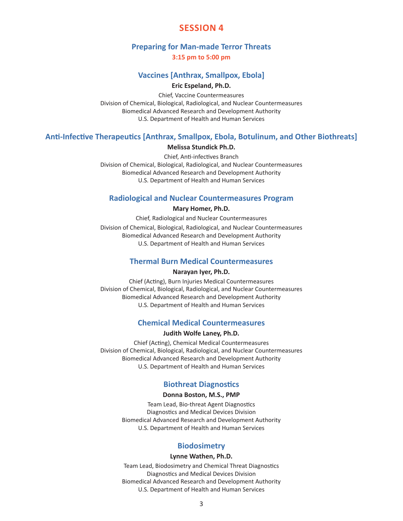# **SESSION 4**

## **Preparing for Man-made Terror Threats**

**3:15 pm to 5:00 pm**

# **Vaccines [Anthrax, Smallpox, Ebola]**

#### **Eric Espeland, Ph.D.**

Chief, Vaccine Countermeasures Division of Chemical, Biological, Radiological, and Nuclear Countermeasures Biomedical Advanced Research and Development Authority U.S. Department of Health and Human Services

# **Anti-Infective Therapeutics [Anthrax, Smallpox, Ebola, Botulinum, and Other Biothreats]**

#### **Melissa Stundick Ph.D.**

Chief, Anti-infectives Branch Division of Chemical, Biological, Radiological, and Nuclear Countermeasures Biomedical Advanced Research and Development Authority U.S. Department of Health and Human Services

## **Radiological and Nuclear Countermeasures Program**

#### **Mary Homer, Ph.D.**

Chief, Radiological and Nuclear Countermeasures Division of Chemical, Biological, Radiological, and Nuclear Countermeasures Biomedical Advanced Research and Development Authority U.S. Department of Health and Human Services

### **Thermal Burn Medical Countermeasures**

### **Narayan Iyer, Ph.D.**

Chief (Acting), Burn Injuries Medical Countermeasures Division of Chemical, Biological, Radiological, and Nuclear Countermeasures Biomedical Advanced Research and Development Authority U.S. Department of Health and Human Services

# **Chemical Medical Countermeasures**

#### **Judith Wolfe Laney, Ph.D.**

Chief (Acting), Chemical Medical Countermeasures Division of Chemical, Biological, Radiological, and Nuclear Countermeasures Biomedical Advanced Research and Development Authority U.S. Department of Health and Human Services

## **Biothreat Diagnostics**

#### **Donna Boston, M.S., PMP**

Team Lead, Bio-threat Agent Diagnostics Diagnostics and Medical Devices Division Biomedical Advanced Research and Development Authority U.S. Department of Health and Human Services

#### **Biodosimetry**

#### **Lynne Wathen, Ph.D.**

Team Lead, Biodosimetry and Chemical Threat Diagnostics Diagnostics and Medical Devices Division Biomedical Advanced Research and Development Authority U.S. Department of Health and Human Services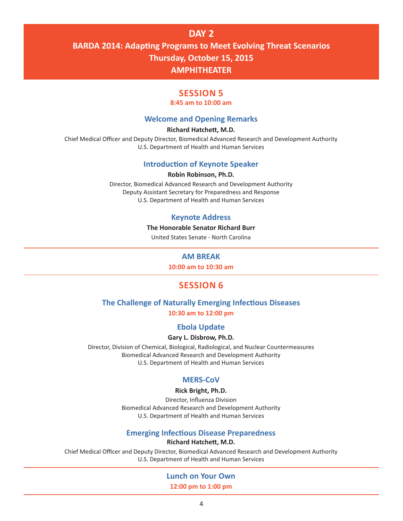# **DAY 2 BARDA 2014: Adapting Programs to Meet Evolving Threat Scenarios Thursday, October 15, 2015 AMPHITHEATER**

# **SESSION 5**

#### **8:45 am to 10:00 am**

# **Welcome and Opening Remarks**

#### **Richard Hatchett, M.D.**

Chief Medical Officer and Deputy Director, Biomedical Advanced Research and Development Authority U.S. Department of Health and Human Services

# **Introduction of Keynote Speaker**

#### **Robin Robinson, Ph.D.**

Director, Biomedical Advanced Research and Development Authority Deputy Assistant Secretary for Preparedness and Response U.S. Department of Health and Human Services

# **Keynote Address**

#### **The Honorable Senator Richard Burr**

United States Senate - North Carolina

## **AM BREAK**

**10:00 am to 10:30 am**

# **SESSION 6**

# **The Challenge of Naturally Emerging Infectious Diseases**

**10:30 am to 12:00 pm**

## **Ebola Update**

## **Gary L. Disbrow, Ph.D.**

Director, Division of Chemical, Biological, Radiological, and Nuclear Countermeasures Biomedical Advanced Research and Development Authority U.S. Department of Health and Human Services

## **MERS-CoV**

#### **Rick Bright, Ph.D.**

Director, Influenza Division Biomedical Advanced Research and Development Authority U.S. Department of Health and Human Services

#### **Emerging Infectious Disease Preparedness**

**Richard Hatchett, M.D.**

Chief Medical Officer and Deputy Director, Biomedical Advanced Research and Development Authority U.S. Department of Health and Human Services

## **Lunch on Your Own**

**12:00 pm to 1:00 pm**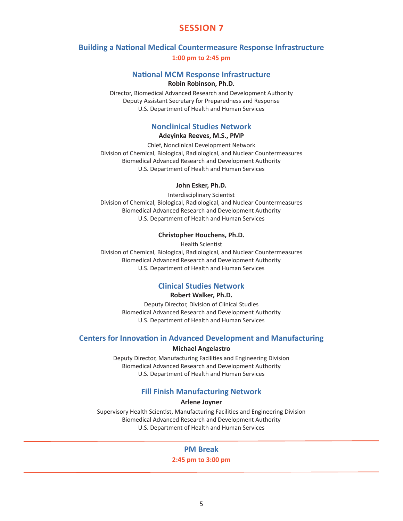# **SESSION 7**

# **Building a National Medical Countermeasure Response Infrastructure**

**1:00 pm to 2:45 pm**

## **National MCM Response Infrastructure**

**Robin Robinson, Ph.D.**

Director, Biomedical Advanced Research and Development Authority Deputy Assistant Secretary for Preparedness and Response U.S. Department of Health and Human Services

# **Nonclinical Studies Network**

### **Adeyinka Reeves, M.S., PMP**

Chief, Nonclinical Development Network Division of Chemical, Biological, Radiological, and Nuclear Countermeasures Biomedical Advanced Research and Development Authority U.S. Department of Health and Human Services

#### **John Esker, Ph.D.**

Interdisciplinary Scientist Division of Chemical, Biological, Radiological, and Nuclear Countermeasures Biomedical Advanced Research and Development Authority U.S. Department of Health and Human Services

#### **Christopher Houchens, Ph.D.**

Health Scientist Division of Chemical, Biological, Radiological, and Nuclear Countermeasures Biomedical Advanced Research and Development Authority U.S. Department of Health and Human Services

# **Clinical Studies Network**

#### **Robert Walker, Ph.D.**

Deputy Director, Division of Clinical Studies Biomedical Advanced Research and Development Authority U.S. Department of Health and Human Services

# **Centers for Innovation in Advanced Development and Manufacturing**

#### **Michael Angelastro**

Deputy Director, Manufacturing Facilities and Engineering Division Biomedical Advanced Research and Development Authority U.S. Department of Health and Human Services

# **Fill Finish Manufacturing Network**

#### **Arlene Joyner**

Supervisory Health Scientist, Manufacturing Facilities and Engineering Division Biomedical Advanced Research and Development Authority U.S. Department of Health and Human Services

# **PM Break**

#### **2:45 pm to 3:00 pm**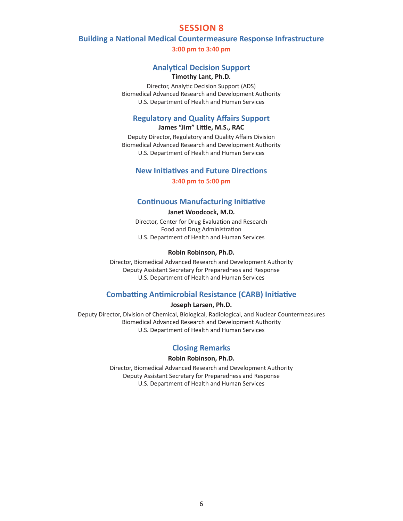# **SESSION 8**

#### **Building a National Medical Countermeasure Response Infrastructure**

**3:00 pm to 3:40 pm**

### **Analytical Decision Support**

# **Timothy Lant, Ph.D.**

Director, Analytic Decision Support (ADS) Biomedical Advanced Research and Development Authority U.S. Department of Health and Human Services

# **Regulatory and Quality Affairs Support**

**James "Jim" Little, M.S., RAC**

Deputy Director, Regulatory and Quality Affairs Division Biomedical Advanced Research and Development Authority U.S. Department of Health and Human Services

# **New Initiatives and Future Directions**

**3:40 pm to 5:00 pm**

# **Continuous Manufacturing Initiative**

#### **Janet Woodcock, M.D.**

Director, Center for Drug Evaluation and Research Food and Drug Administration U.S. Department of Health and Human Services

#### **Robin Robinson, Ph.D.**

Director, Biomedical Advanced Research and Development Authority Deputy Assistant Secretary for Preparedness and Response U.S. Department of Health and Human Services

# **Combatting Antimicrobial Resistance (CARB) Initiative**

**Joseph Larsen, Ph.D.**

Deputy Director, Division of Chemical, Biological, Radiological, and Nuclear Countermeasures Biomedical Advanced Research and Development Authority U.S. Department of Health and Human Services

# **Closing Remarks**

#### **Robin Robinson, Ph.D.**

Director, Biomedical Advanced Research and Development Authority Deputy Assistant Secretary for Preparedness and Response U.S. Department of Health and Human Services